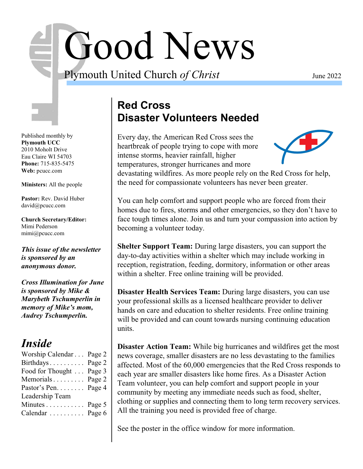# Good News

Plymouth United Church *of Christ* June 2022

Published monthly by **Plymouth UCC** 2010 Moholt Drive Eau Claire WI 54703 **Phone:** 715-835-5475 **Web:** pcucc.com

**Ministers:** All the people

**Pastor:** Rev. David Huber david@pcucc.com

**Church Secretary/Editor:** Mimi Pederson mimi@pcucc.com

*This issue of the newsletter is sponsored by an anonymous donor.*

*Cross Illumination for June is sponsored by Mike & Marybeth Tschumperlin in memory of Mike's mom, Audrey Tschumperlin.*

# *Inside*

| Worship Calendar Page 2 |  |
|-------------------------|--|
| Birthdays Page 2        |  |
| Food for Thought Page 3 |  |
| Memorials Page 2        |  |
| Pastor's Pen. Page 4    |  |
| Leadership Team         |  |
| Minutes Page 5          |  |
| Calendar  Page 6        |  |

# **Red Cross Disaster Volunteers Needed**

Every day, the American Red Cross sees the heartbreak of people trying to cope with more intense storms, heavier rainfall, higher temperatures, stronger hurricanes and more



devastating wildfires. As more people rely on the Red Cross for help, the need for compassionate volunteers has never been greater.

You can help comfort and support people who are forced from their homes due to fires, storms and other emergencies, so they don't have to face tough times alone. Join us and turn your compassion into action by becoming a volunteer today.

**Shelter Support Team:** During large disasters, you can support the day-to-day activities within a shelter which may include working in reception, registration, feeding, dormitory, information or other areas within a shelter. Free online training will be provided.

**Disaster Health Services Team:** During large disasters, you can use your professional skills as a licensed healthcare provider to deliver hands on care and education to shelter residents. Free online training will be provided and can count towards nursing continuing education units.

**Disaster Action Team:** While big hurricanes and wildfires get the most news coverage, smaller disasters are no less devastating to the families affected. Most of the 60,000 emergencies that the Red Cross responds to each year are smaller disasters like home fires. As a Disaster Action Team volunteer, you can help comfort and support people in your community by meeting any immediate needs such as food, shelter, clothing or supplies and connecting them to long term recovery services. All the training you need is provided free of charge.

See the poster in the office window for more information.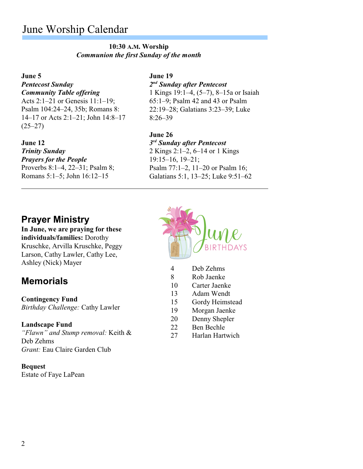# June Worship Calendar

#### **10:30 A.M. Worship** *Communion the first Sunday of the month*

#### **June 5**

## *Pentecost Sunday*

*Community Table offering* Acts 2:1–21 or Genesis 11:1–19; Psalm 104:24–24, 35b; Romans 8: 14–17 or Acts 2:1–21; John 14:8–17  $(25-27)$ 

#### **June 12**

#### *Trinity Sunday Prayers for the People*

Proverbs 8:1–4, 22–31; Psalm 8; Romans 5:1–5; John 16:12–15

#### **June 19**

*2 nd Sunday after Pentecost* 1 Kings 19:1–4, (5–7), 8–15a or Isaiah 65:1–9; Psalm 42 and 43 or Psalm 22:19–28; Galatians 3:23–39; Luke 8:26–39

#### **June 26**

*3 rd Sunday after Pentecost* 2 Kings 2:1–2, 6–14 or 1 Kings 19:15–16, 19–21; Psalm 77:1–2, 11–20 or Psalm 16; Galatians 5:1, 13–25; Luke 9:51–62

# **Prayer Ministry**

**In June, we are praying for these individuals/families:** Dorothy Kruschke, Arvilla Kruschke, Peggy Larson, Cathy Lawler, Cathy Lee, Ashley (Nick) Mayer

# **Memorials**

#### **Contingency Fund**

*Birthday Challenge:* Cathy Lawler

#### **Landscape Fund**

*"Flawn" and Stump removal:* Keith & Deb Zehms *Grant:* Eau Claire Garden Club

#### **Bequest**

Estate of Faye LaPean



- 4 Deb Zehms
- 8 Rob Jaenke
- 10 Carter Jaenke
- 13 Adam Wendt
- 15 Gordy Heimstead
- 19 Morgan Jaenke
- 20 Denny Shepler
- 22 Ben Bechle
- 27 Harlan Hartwich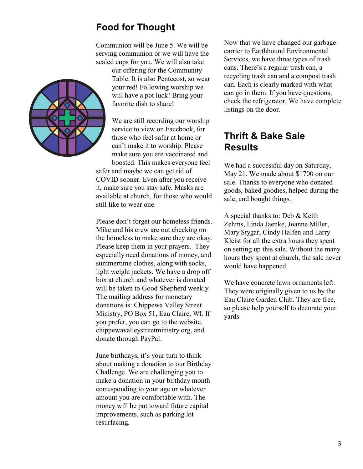# **Food for Thought**

Communion will be June 5. We will be serving communion or we will have the sealed cups for you. We will also take

> our offering for the Community Table. It is also Pentecost, so wear your red! Following worship we will have a pot luck! Bring your favorite dish to share!

We are still recording our worship service to view on Facebook, for those who feel safer at home or can't make it to worship. Please make sure you are vaccinated and boosted. This makes everyone feel safer and maybe we can get rid of COVID sooner. Even after you receive it, make sure you stay safe. Masks are available at church, for those who would still like to wear one.

Please don't forget our homeless friends. Mike and his crew are out checking on the homeless to make sure they are okay. Please keep them in your prayers. They especially need donations of money, and summertime clothes, along with socks, light weight jackets. We have a drop off box at church and whatever is donated will be taken to Good Shepherd weekly. The mailing address for monetary donations is: Chippewa Valley Street Ministry, PO Box 51, Eau Claire, WI. If you prefer, you can go to the website, chippewavalleystreetministry.org, and donate through PayPal.

June birthdays, it's your turn to think about making a donation to our Birthday Challenge. We are challenging you to make a donation in your birthday month corresponding to your age or whatever amount you are comfortable with. The money will be put toward future capital improvements, such as parking lot resurfacing.

Now that we have changed our garbage carrier to Earthbound Environmental Services, we have three types of trash cans. There's a regular trash can, a recycling trash can and a compost trash can. Each is clearly marked with what can go in them. If you have questions, check the refrigerator. We have complete listings on the door.

## **Thrift & Bake Sale Results**

We had a successful day on Saturday, May 21. We made about \$1700 on our sale. Thanks to everyone who donated goods, baked goodies, helped during the sale, and bought things.

A special thanks to: Deb & Keith Zehms, Linda Jaenke, Joanne Miller, Mary Stygar, Cindy Halfen and Larry Kleist for all the extra hours they spent on setting up this sale. Without the many hours they spent at church, the sale never would have happened.

We have concrete lawn ornaments left. They were originally given to us by the Eau Claire Garden Club. They are free, so please help yourself to decorate your yards.

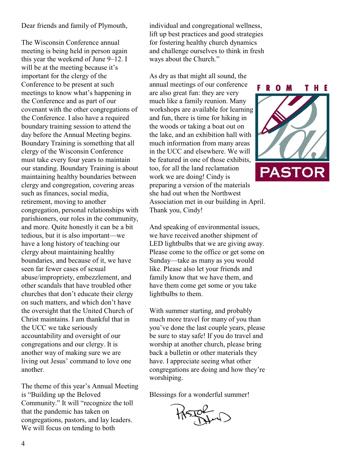#### Dear friends and family of Plymouth,

The Wisconsin Conference annual meeting is being held in person again this year the weekend of June 9–12. I will be at the meeting because it's important for the clergy of the Conference to be present at such meetings to know what's happening in the Conference and as part of our covenant with the other congregations of the Conference. I also have a required boundary training session to attend the day before the Annual Meeting begins. Boundary Training is something that all clergy of the Wisconsin Conference must take every four years to maintain our standing. Boundary Training is about maintaining healthy boundaries between clergy and congregation, covering areas such as finances, social media, retirement, moving to another congregation, personal relationships with parishioners, our roles in the community, and more. Quite honestly it can be a bit tedious, but it is also important—we have a long history of teaching our clergy about maintaining healthy boundaries, and because of it, we have seen far fewer cases of sexual abuse/impropriety, embezzlement, and other scandals that have troubled other churches that don't educate their clergy on such matters, and which don't have the oversight that the United Church of Christ maintains. I am thankful that in the UCC we take seriously accountability and oversight of our congregations and our clergy. It is another way of making sure we are living out Jesus' command to love one another.

The theme of this year's Annual Meeting is "Building up the Beloved Community." It will "recognize the toll that the pandemic has taken on congregations, pastors, and lay leaders. We will focus on tending to both

individual and congregational wellness, lift up best practices and good strategies for fostering healthy church dynamics and challenge ourselves to think in fresh ways about the Church."

As dry as that might all sound, the annual meetings of our conference are also great fun: they are very much like a family reunion. Many workshops are available for learning and fun, there is time for hiking in the woods or taking a boat out on the lake, and an exhibition hall with much information from many areas in the UCC and elsewhere. We will be featured in one of those exhibits, too, for all the land reclamation work we are doing! Cindy is preparing a version of the materials she had out when the Northwest Association met in our building in April. Thank you, Cindy!

And speaking of environmental issues, we have received another shipment of LED lightbulbs that we are giving away. Please come to the office or get some on Sunday—take as many as you would like. Please also let your friends and family know that we have them, and have them come get some or you take lightbulbs to them.

With summer starting, and probably much more travel for many of you than you've done the last couple years, please be sure to stay safe! If you do travel and worship at another church, please bring back a bulletin or other materials they have. I appreciate seeing what other congregations are doing and how they're worshiping.

Blessings for a wonderful summer!

BILID

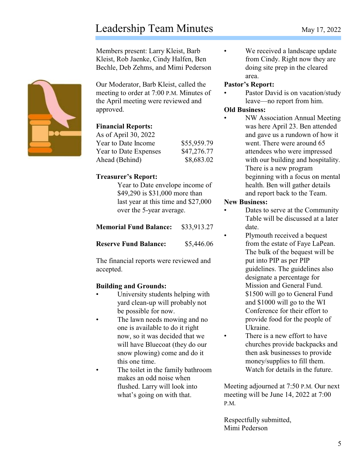# Leadership Team Minutes May 17, 2022

Members present: Larry Kleist, Barb Kleist, Rob Jaenke, Cindy Halfen, Ben Bechle, Deb Zehms, and Mimi Pederson

Our Moderator, Barb Kleist, called the meeting to order at 7:00 P.M. Minutes of the April meeting were reviewed and approved.

#### **Financial Reports:**

| As of April 30, 2022         |             |
|------------------------------|-------------|
| Year to Date Income          | \$55,959.79 |
| <b>Year to Date Expenses</b> | \$47,276.77 |
| Ahead (Behind)               | \$8,683.02  |

#### **Treasurer's Report:**

Year to Date envelope income of \$49,290 is \$31,000 more than last year at this time and \$27,000 over the 5-year average.

| <b>Memorial Fund Balance:</b> | \$33,913.27 |
|-------------------------------|-------------|
|                               |             |

**Reserve Fund Balance:** \$5,446.06

The financial reports were reviewed and accepted.

## **Building and Grounds:**

- University students helping with yard clean-up will probably not be possible for now.
- The lawn needs mowing and no one is available to do it right now, so it was decided that we will have Bluecoat (they do our snow plowing) come and do it this one time.
- The toilet in the family bathroom makes an odd noise when flushed. Larry will look into what's going on with that.

• We received a landscape update from Cindy. Right now they are doing site prep in the cleared area.

#### **Pastor's Report:**

Pastor David is on vacation/study leave—no report from him.

#### **Old Business:**

• NW Association Annual Meeting was here April 23. Ben attended and gave us a rundown of how it went. There were around 65 attendees who were impressed with our building and hospitality. There is a new program beginning with a focus on mental health. Ben will gather details and report back to the Team.

#### **New Business:**

- Dates to serve at the Community Table will be discussed at a later date.
- Plymouth received a bequest from the estate of Faye LaPean. The bulk of the bequest will be put into PIP as per PIP guidelines. The guidelines also designate a percentage for Mission and General Fund. \$1500 will go to General Fund and \$1000 will go to the WI Conference for their effort to provide food for the people of Ukraine.
- There is a new effort to have churches provide backpacks and then ask businesses to provide money/supplies to fill them. Watch for details in the future.

Meeting adjourned at 7:50 P.M. Our next meeting will be June 14, 2022 at 7:00 P.M.

Respectfully submitted, Mimi Pederson